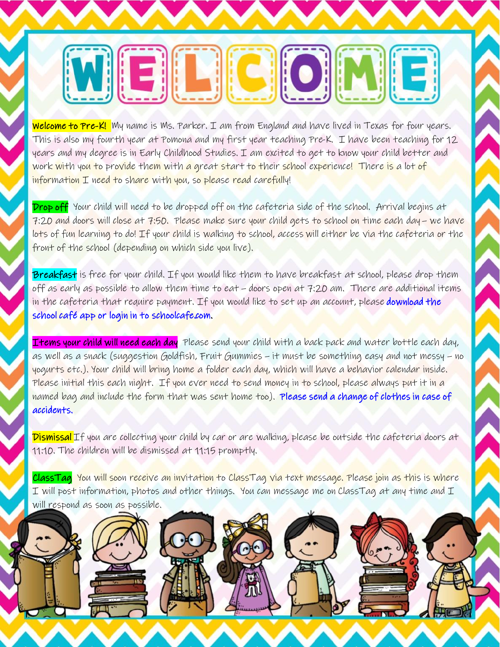## NEL COM 13

Welcome to Pre-K! My name is Ms. Parker. I am from England and have lived in Texas for four years. This is also my fourth year at Pomona and my first year teaching Pre-K. I have been teaching for 12 years and my degree is in Early Childhood Studies. I am excited to get to know your child better and work with you to provide them with a great start to their school experience! There is a lot of information I need to share with you, so please read carefully!

Drop off Your child will need to be dropped off on the cafeteria side of the school. Arrival begins at 7:20 and doors will close at 7:50. Please make sure your child gets to school on time each day – we have lots of fun learning to do! If your child is walking to school, access will either be via the cafeteria or the front of the school (depending on which side you live).

Breakfast is free for your child. If you would like them to have breakfast at school, please drop them off as early as possible to allow them time to eat – doors open at 7:20 am. There are additional items in the cafeteria that require payment. If you would like to set up an account, please download the school café app or login in to schoolcafe.com.

Items your child will need each day Please send your child with a back pack and water bottle each day, as well as a snack (suggestion Goldfish, Fruit Gummies – it must be something easy and not messy – no yogurts etc.). Your child will bring home a folder each day, which will have a behavior calendar inside. Please initial this each night. If you ever need to send money in to school, please always put it in a named bag and include the form that was sent home too). Please send a change of clothes in case of accidents.

Dismissal If you are collecting your child by car or are walking, please be outside the cafeteria doors at 11:10. The children will be dismissed at 11:15 promptly.

ClassTag You will soon receive an invitation to ClassTag via text message. Please join as this is where  ${\mathcal{I}}$  will post information, photos and other things. You can message me on ClassTag at any time and  ${\mathcal{I}}$ will respond as soon as possible.

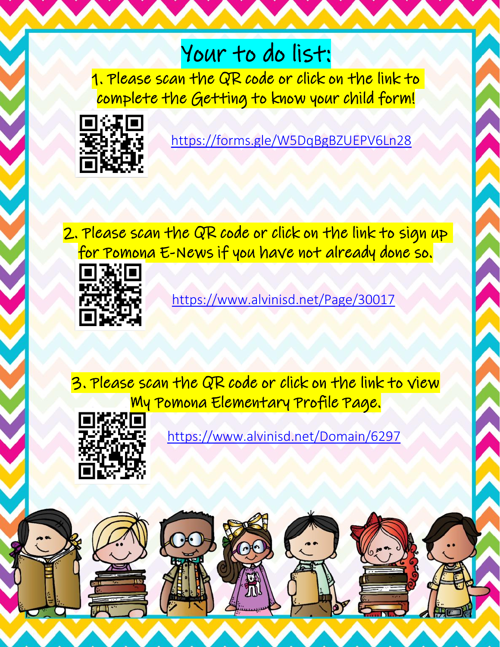## Your to do list:

1. Please scan the QR code or click on the link to complete the Getting to know your child form!



<https://forms.gle/W5DqBgBZUEPV6Ln28>

2. Please scan the QR code or click on the link to sign up for Pomona E-News if you have not already done so.



<https://www.alvinisd.net/Page/30017>

3. Please scan the QR code or click on the link to view My Pomona Elementary Profile Page.



<https://www.alvinisd.net/Domain/6297>